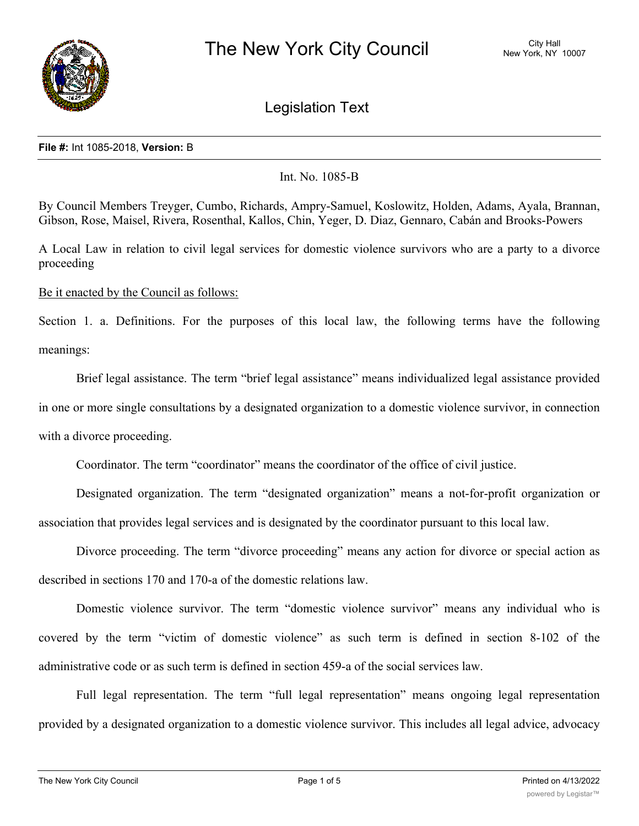

Legislation Text

## **File #:** Int 1085-2018, **Version:** B

## Int. No. 1085-B

By Council Members Treyger, Cumbo, Richards, Ampry-Samuel, Koslowitz, Holden, Adams, Ayala, Brannan, Gibson, Rose, Maisel, Rivera, Rosenthal, Kallos, Chin, Yeger, D. Diaz, Gennaro, Cabán and Brooks-Powers

A Local Law in relation to civil legal services for domestic violence survivors who are a party to a divorce proceeding

Be it enacted by the Council as follows:

Section 1. a. Definitions. For the purposes of this local law, the following terms have the following meanings:

Brief legal assistance. The term "brief legal assistance" means individualized legal assistance provided in one or more single consultations by a designated organization to a domestic violence survivor, in connection with a divorce proceeding.

Coordinator. The term "coordinator" means the coordinator of the office of civil justice.

Designated organization. The term "designated organization" means a not-for-profit organization or association that provides legal services and is designated by the coordinator pursuant to this local law.

Divorce proceeding. The term "divorce proceeding" means any action for divorce or special action as described in sections 170 and 170-a of the domestic relations law.

Domestic violence survivor. The term "domestic violence survivor" means any individual who is covered by the term "victim of domestic violence" as such term is defined in section 8-102 of the administrative code or as such term is defined in section 459-a of the social services law.

Full legal representation. The term "full legal representation" means ongoing legal representation provided by a designated organization to a domestic violence survivor. This includes all legal advice, advocacy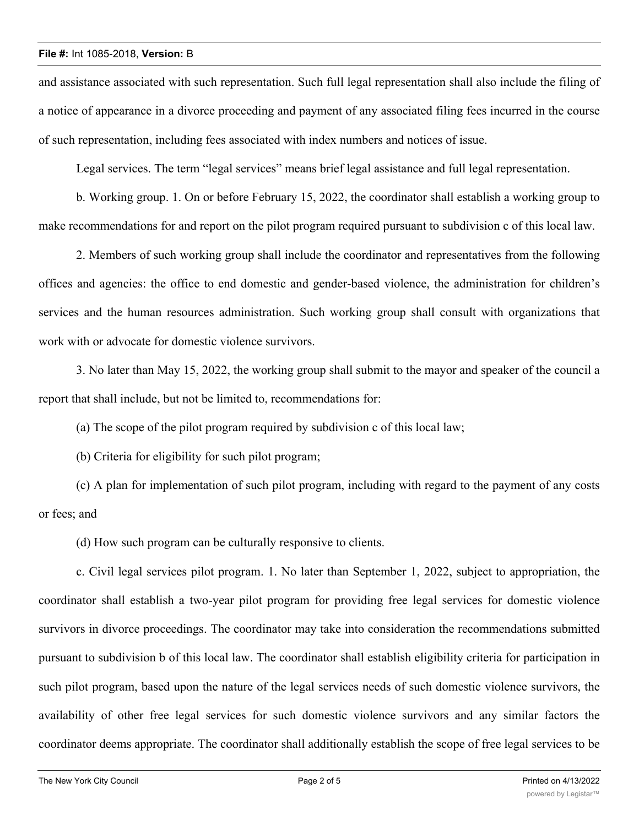## **File #:** Int 1085-2018, **Version:** B

and assistance associated with such representation. Such full legal representation shall also include the filing of a notice of appearance in a divorce proceeding and payment of any associated filing fees incurred in the course of such representation, including fees associated with index numbers and notices of issue.

Legal services. The term "legal services" means brief legal assistance and full legal representation.

b. Working group. 1. On or before February 15, 2022, the coordinator shall establish a working group to make recommendations for and report on the pilot program required pursuant to subdivision c of this local law.

2. Members of such working group shall include the coordinator and representatives from the following offices and agencies: the office to end domestic and gender-based violence, the administration for children's services and the human resources administration. Such working group shall consult with organizations that work with or advocate for domestic violence survivors.

3. No later than May 15, 2022, the working group shall submit to the mayor and speaker of the council a report that shall include, but not be limited to, recommendations for:

(a) The scope of the pilot program required by subdivision c of this local law;

(b) Criteria for eligibility for such pilot program;

(c) A plan for implementation of such pilot program, including with regard to the payment of any costs or fees; and

(d) How such program can be culturally responsive to clients.

c. Civil legal services pilot program. 1. No later than September 1, 2022, subject to appropriation, the coordinator shall establish a two-year pilot program for providing free legal services for domestic violence survivors in divorce proceedings. The coordinator may take into consideration the recommendations submitted pursuant to subdivision b of this local law. The coordinator shall establish eligibility criteria for participation in such pilot program, based upon the nature of the legal services needs of such domestic violence survivors, the availability of other free legal services for such domestic violence survivors and any similar factors the coordinator deems appropriate. The coordinator shall additionally establish the scope of free legal services to be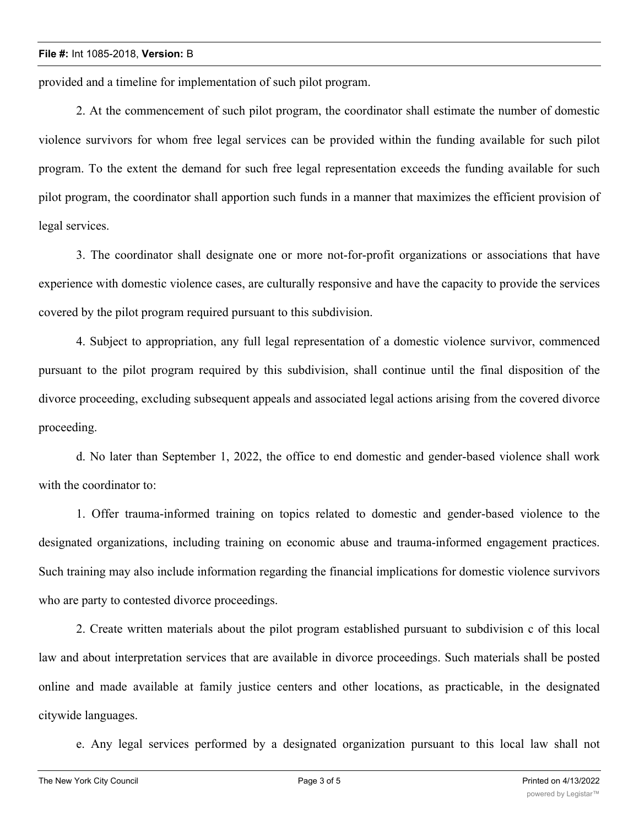provided and a timeline for implementation of such pilot program.

2. At the commencement of such pilot program, the coordinator shall estimate the number of domestic violence survivors for whom free legal services can be provided within the funding available for such pilot program. To the extent the demand for such free legal representation exceeds the funding available for such pilot program, the coordinator shall apportion such funds in a manner that maximizes the efficient provision of legal services.

3. The coordinator shall designate one or more not-for-profit organizations or associations that have experience with domestic violence cases, are culturally responsive and have the capacity to provide the services covered by the pilot program required pursuant to this subdivision.

4. Subject to appropriation, any full legal representation of a domestic violence survivor, commenced pursuant to the pilot program required by this subdivision, shall continue until the final disposition of the divorce proceeding, excluding subsequent appeals and associated legal actions arising from the covered divorce proceeding.

d. No later than September 1, 2022, the office to end domestic and gender-based violence shall work with the coordinator to:

1. Offer trauma-informed training on topics related to domestic and gender-based violence to the designated organizations, including training on economic abuse and trauma-informed engagement practices. Such training may also include information regarding the financial implications for domestic violence survivors who are party to contested divorce proceedings.

2. Create written materials about the pilot program established pursuant to subdivision c of this local law and about interpretation services that are available in divorce proceedings. Such materials shall be posted online and made available at family justice centers and other locations, as practicable, in the designated citywide languages.

e. Any legal services performed by a designated organization pursuant to this local law shall not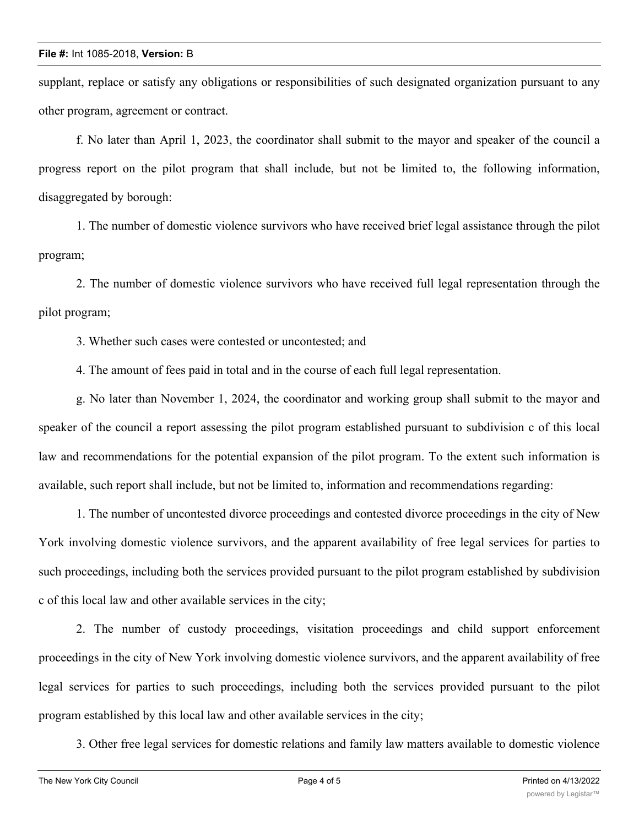supplant, replace or satisfy any obligations or responsibilities of such designated organization pursuant to any other program, agreement or contract.

f. No later than April 1, 2023, the coordinator shall submit to the mayor and speaker of the council a progress report on the pilot program that shall include, but not be limited to, the following information, disaggregated by borough:

1. The number of domestic violence survivors who have received brief legal assistance through the pilot program;

2. The number of domestic violence survivors who have received full legal representation through the pilot program;

3. Whether such cases were contested or uncontested; and

4. The amount of fees paid in total and in the course of each full legal representation.

g. No later than November 1, 2024, the coordinator and working group shall submit to the mayor and speaker of the council a report assessing the pilot program established pursuant to subdivision c of this local law and recommendations for the potential expansion of the pilot program. To the extent such information is available, such report shall include, but not be limited to, information and recommendations regarding:

1. The number of uncontested divorce proceedings and contested divorce proceedings in the city of New York involving domestic violence survivors, and the apparent availability of free legal services for parties to such proceedings, including both the services provided pursuant to the pilot program established by subdivision c of this local law and other available services in the city;

2. The number of custody proceedings, visitation proceedings and child support enforcement proceedings in the city of New York involving domestic violence survivors, and the apparent availability of free legal services for parties to such proceedings, including both the services provided pursuant to the pilot program established by this local law and other available services in the city;

3. Other free legal services for domestic relations and family law matters available to domestic violence